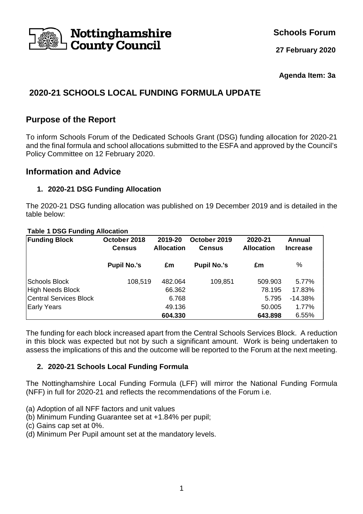

**Schools Forum**

**27 February 2020**

#### **Agenda Item: 3a**

# **2020-21 SCHOOLS LOCAL FUNDING FORMULA UPDATE**

# **Purpose of the Report**

To inform Schools Forum of the Dedicated Schools Grant (DSG) funding allocation for 2020-21 and the final formula and school allocations submitted to the ESFA and approved by the Council's Policy Committee on 12 February 2020.

# **Information and Advice**

### **1. 2020-21 DSG Funding Allocation**

The 2020-21 DSG funding allocation was published on 19 December 2019 and is detailed in the table below:

#### **Table 1 DSG Funding Allocation**

| <b>Funding Block</b>          | October 2018<br><b>Census</b> | 2019-20<br><b>Allocation</b> | October 2019<br><b>Census</b> | 2020-21<br><b>Allocation</b> | Annual<br><b>Increase</b> |
|-------------------------------|-------------------------------|------------------------------|-------------------------------|------------------------------|---------------------------|
|                               | <b>Pupil No.'s</b>            | £m                           | <b>Pupil No.'s</b>            | £m                           | %                         |
| Schools Block                 | 108,519                       | 482.064                      | 109,851                       | 509.903                      | 5.77%                     |
| High Needs Block              |                               | 66.362                       |                               | 78.195                       | 17.83%                    |
| <b>Central Services Block</b> |                               | 6.768                        |                               | 5.795                        | $-14.38%$                 |
| <b>Early Years</b>            |                               | 49.136                       |                               | 50.005                       | 1.77%                     |
|                               |                               | 604.330                      |                               | 643.898                      | 6.55%                     |

The funding for each block increased apart from the Central Schools Services Block. A reduction in this block was expected but not by such a significant amount. Work is being undertaken to assess the implications of this and the outcome will be reported to the Forum at the next meeting.

### **2. 2020-21 Schools Local Funding Formula**

The Nottinghamshire Local Funding Formula (LFF) will mirror the National Funding Formula (NFF) in full for 2020-21 and reflects the recommendations of the Forum i.e.

- (a) Adoption of all NFF factors and unit values
- (b) Minimum Funding Guarantee set at +1.84% per pupil;
- (c) Gains cap set at 0%.
- (d) Minimum Per Pupil amount set at the mandatory levels.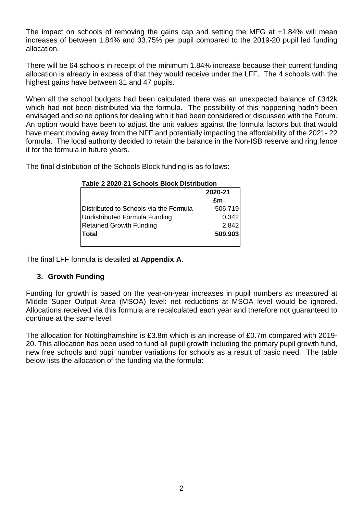The impact on schools of removing the gains cap and setting the MFG at +1.84% will mean increases of between 1.84% and 33.75% per pupil compared to the 2019-20 pupil led funding allocation.

There will be 64 schools in receipt of the minimum 1.84% increase because their current funding allocation is already in excess of that they would receive under the LFF. The 4 schools with the highest gains have between 31 and 47 pupils.

When all the school budgets had been calculated there was an unexpected balance of £342k which had not been distributed via the formula. The possibility of this happening hadn't been envisaged and so no options for dealing with it had been considered or discussed with the Forum. An option would have been to adjust the unit values against the formula factors but that would have meant moving away from the NFF and potentially impacting the affordability of the 2021- 22 formula. The local authority decided to retain the balance in the Non-ISB reserve and ring fence it for the formula in future years.

The final distribution of the Schools Block funding is as follows:

| 2020-21 |
|---------|
| £m      |
| 506.719 |
| 0.342   |
| 2.842   |
| 509.903 |
|         |

The final LFF formula is detailed at **Appendix A**.

### **3. Growth Funding**

Funding for growth is based on the year-on-year increases in pupil numbers as measured at Middle Super Output Area (MSOA) level: net reductions at MSOA level would be ignored. Allocations received via this formula are recalculated each year and therefore not guaranteed to continue at the same level.

The allocation for Nottinghamshire is £3.8m which is an increase of £0.7m compared with 2019- 20. This allocation has been used to fund all pupil growth including the primary pupil growth fund, new free schools and pupil number variations for schools as a result of basic need. The table below lists the allocation of the funding via the formula: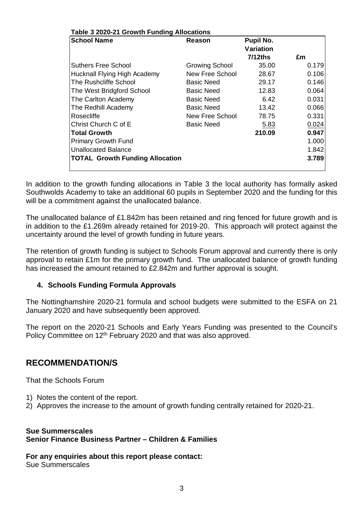| Reason<br><b>Growing School</b><br>New Free School<br>Basic Need<br>Basic Need | Pupil No.<br><b>Variation</b><br>$7/12$ ths<br>35.00<br>28.67<br>29.17<br>12.83 | £m<br>0.179<br>0.146<br>0.064 |
|--------------------------------------------------------------------------------|---------------------------------------------------------------------------------|-------------------------------|
|                                                                                |                                                                                 | 0.106                         |
|                                                                                |                                                                                 |                               |
|                                                                                |                                                                                 |                               |
|                                                                                |                                                                                 |                               |
|                                                                                |                                                                                 |                               |
|                                                                                |                                                                                 |                               |
| <b>Basic Need</b>                                                              | 6.42                                                                            | 0.031                         |
| <b>Basic Need</b>                                                              | 13.42                                                                           | 0.066                         |
|                                                                                | 78.75                                                                           | 0.331                         |
|                                                                                | 5.83                                                                            | 0.024                         |
|                                                                                | 210.09                                                                          | 0.947                         |
|                                                                                |                                                                                 | 1.000                         |
|                                                                                |                                                                                 | 1.842                         |
|                                                                                |                                                                                 | 3.789                         |
|                                                                                | New Free School<br>Basic Need                                                   |                               |

In addition to the growth funding allocations in Table 3 the local authority has formally asked Southwolds Academy to take an additional 60 pupils in September 2020 and the funding for this will be a commitment against the unallocated balance.

The unallocated balance of £1.842m has been retained and ring fenced for future growth and is in addition to the £1.269m already retained for 2019-20. This approach will protect against the uncertainty around the level of growth funding in future years.

The retention of growth funding is subject to Schools Forum approval and currently there is only approval to retain £1m for the primary growth fund. The unallocated balance of growth funding has increased the amount retained to £2.842m and further approval is sought.

### **4. Schools Funding Formula Approvals**

The Nottinghamshire 2020-21 formula and school budgets were submitted to the ESFA on 21 January 2020 and have subsequently been approved.

The report on the 2020-21 Schools and Early Years Funding was presented to the Council's Policy Committee on 12<sup>th</sup> February 2020 and that was also approved.

# **RECOMMENDATION/S**

That the Schools Forum

- 1) Notes the content of the report.
- 2) Approves the increase to the amount of growth funding centrally retained for 2020-21.

### **Sue Summerscales Senior Finance Business Partner – Children & Families**

**For any enquiries about this report please contact:**

Sue Summerscales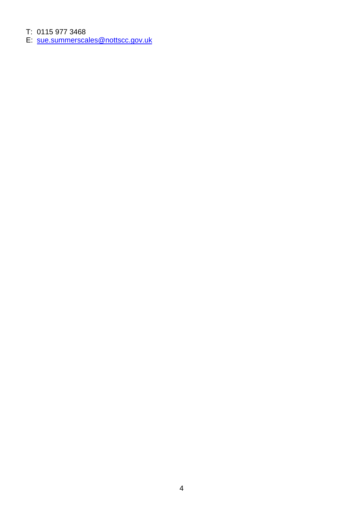T: 0115 977 3468<br>E: sue.summerscales@nottscc.gov.uk